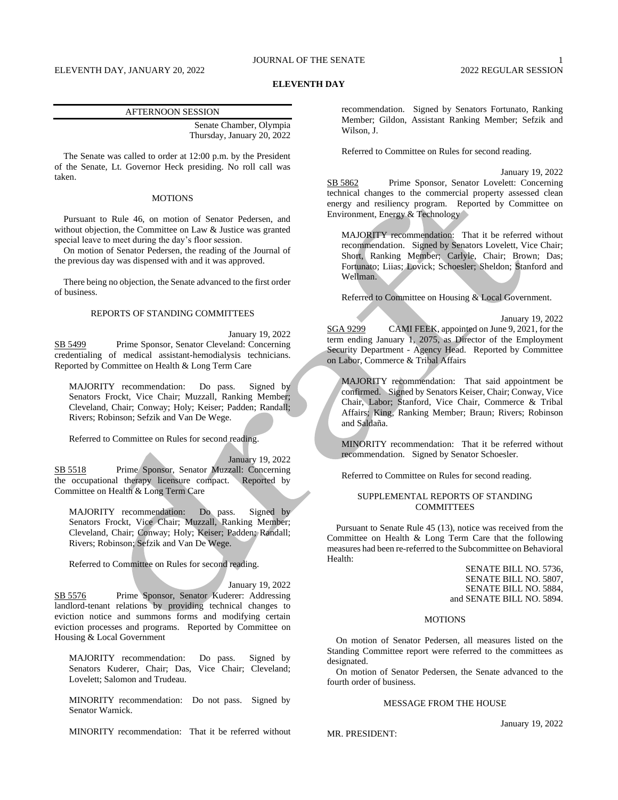#### **ELEVENTH DAY**

#### AFTERNOON SESSION

Senate Chamber, Olympia Thursday, January 20, 2022

The Senate was called to order at 12:00 p.m. by the President of the Senate, Lt. Governor Heck presiding. No roll call was taken.

## **MOTIONS**

Pursuant to Rule 46, on motion of Senator Pedersen, and without objection, the Committee on Law & Justice was granted special leave to meet during the day's floor session.

On motion of Senator Pedersen, the reading of the Journal of the previous day was dispensed with and it was approved.

There being no objection, the Senate advanced to the first order of business.

#### REPORTS OF STANDING COMMITTEES

January 19, 2022 SB 5499 Prime Sponsor, Senator Cleveland: Concerning credentialing of medical assistant-hemodialysis technicians. Reported by Committee on Health & Long Term Care

MAJORITY recommendation: Do pass. Signed by Senators Frockt, Vice Chair; Muzzall, Ranking Member; Cleveland, Chair; Conway; Holy; Keiser; Padden; Randall; Rivers; Robinson; Sefzik and Van De Wege.

Referred to Committee on Rules for second reading.

January 19, 2022 SB 5518 Prime Sponsor, Senator Muzzall: Concerning the occupational therapy licensure compact. Reported by Committee on Health & Long Term Care

MAJORITY recommendation: Do pass. Signed by Senators Frockt, Vice Chair; Muzzall, Ranking Member; Cleveland, Chair; Conway; Holy; Keiser; Padden; Randall; Rivers; Robinson; Sefzik and Van De Wege.

Referred to Committee on Rules for second reading.

#### January 19, 2022

SB 5576 Prime Sponsor, Senator Kuderer: Addressing landlord-tenant relations by providing technical changes to eviction notice and summons forms and modifying certain eviction processes and programs. Reported by Committee on Housing & Local Government

MAJORITY recommendation: Do pass. Signed by Senators Kuderer, Chair; Das, Vice Chair; Cleveland; Lovelett; Salomon and Trudeau.

MINORITY recommendation: Do not pass. Signed by Senator Warnick.

MINORITY recommendation: That it be referred without

recommendation. Signed by Senators Fortunato, Ranking Member; Gildon, Assistant Ranking Member; Sefzik and Wilson, J.

Referred to Committee on Rules for second reading.

January 19, 2022 SB 5862 Prime Sponsor, Senator Lovelett: Concerning technical changes to the commercial property assessed clean energy and resiliency program. Reported by Committee on Environment, Energy & Technology

MAJORITY recommendation: That it be referred without recommendation. Signed by Senators Lovelett, Vice Chair; Short, Ranking Member; Carlyle, Chair; Brown; Das; Fortunato; Liias; Lovick; Schoesler; Sheldon; Stanford and Wellman.

Referred to Committee on Housing & Local Government.

January 19, 2022 SGA 9299 CAMI FEEK, appointed on June 9, 2021, for the term ending January 1, 2075, as Director of the Employment Security Department - Agency Head. Reported by Committee on Labor, Commerce & Tribal Affairs

MAJORITY recommendation: That said appointment be confirmed. Signed by Senators Keiser, Chair; Conway, Vice Chair, Labor; Stanford, Vice Chair, Commerce & Tribal Affairs; King, Ranking Member; Braun; Rivers; Robinson and Saldaña.

MINORITY recommendation: That it be referred without recommendation. Signed by Senator Schoesler.

Referred to Committee on Rules for second reading.

#### SUPPLEMENTAL REPORTS OF STANDING **COMMITTEES**

Pursuant to Senate Rule 45 (13), notice was received from the Committee on Health & Long Term Care that the following measures had been re-referred to the Subcommittee on Behavioral Health:

> SENATE BILL NO. 5736, SENATE BILL NO. 5807, SENATE BILL NO. 5884, and SENATE BILL NO. 5894.

#### **MOTIONS**

On motion of Senator Pedersen, all measures listed on the Standing Committee report were referred to the committees as designated.

On motion of Senator Pedersen, the Senate advanced to the fourth order of business.

# MESSAGE FROM THE HOUSE

MR. PRESIDENT:

January 19, 2022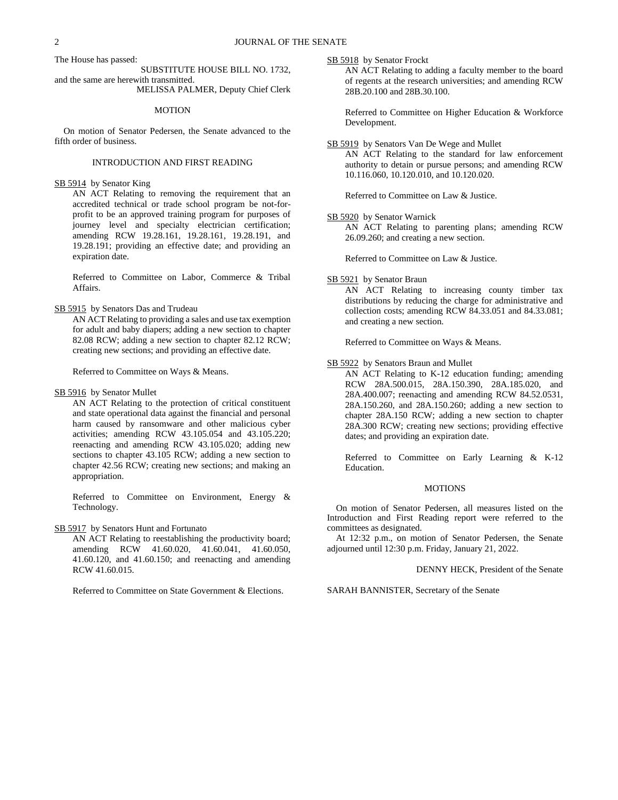The House has passed:

SUBSTITUTE HOUSE BILL NO. 1732, and the same are herewith transmitted.

MELISSA PALMER, Deputy Chief Clerk

# MOTION

On motion of Senator Pedersen, the Senate advanced to the fifth order of business.

# INTRODUCTION AND FIRST READING

SB 5914 by Senator King

AN ACT Relating to removing the requirement that an accredited technical or trade school program be not-forprofit to be an approved training program for purposes of journey level and specialty electrician certification; amending RCW 19.28.161, 19.28.161, 19.28.191, and 19.28.191; providing an effective date; and providing an expiration date.

Referred to Committee on Labor, Commerce & Tribal Affairs.

#### SB 5915 by Senators Das and Trudeau

AN ACT Relating to providing a sales and use tax exemption for adult and baby diapers; adding a new section to chapter 82.08 RCW; adding a new section to chapter 82.12 RCW; creating new sections; and providing an effective date.

Referred to Committee on Ways & Means.

#### SB 5916 by Senator Mullet

AN ACT Relating to the protection of critical constituent and state operational data against the financial and personal harm caused by ransomware and other malicious cyber activities; amending RCW 43.105.054 and 43.105.220; reenacting and amending RCW 43.105.020; adding new sections to chapter 43.105 RCW; adding a new section to chapter 42.56 RCW; creating new sections; and making an appropriation.

Referred to Committee on Environment, Energy & Technology.

SB 5917 by Senators Hunt and Fortunato

AN ACT Relating to reestablishing the productivity board; amending RCW 41.60.020, 41.60.041, 41.60.050, 41.60.120, and 41.60.150; and reenacting and amending RCW 41.60.015.

Referred to Committee on State Government & Elections.

SB 5918 by Senator Frockt

AN ACT Relating to adding a faculty member to the board of regents at the research universities; and amending RCW 28B.20.100 and 28B.30.100.

Referred to Committee on Higher Education & Workforce Development.

## SB 5919 by Senators Van De Wege and Mullet

AN ACT Relating to the standard for law enforcement authority to detain or pursue persons; and amending RCW 10.116.060, 10.120.010, and 10.120.020.

Referred to Committee on Law & Justice.

# SB 5920 by Senator Warnick

AN ACT Relating to parenting plans; amending RCW 26.09.260; and creating a new section.

Referred to Committee on Law & Justice.

#### SB 5921 by Senator Braun

AN ACT Relating to increasing county timber tax distributions by reducing the charge for administrative and collection costs; amending RCW 84.33.051 and 84.33.081; and creating a new section.

Referred to Committee on Ways & Means.

## SB 5922 by Senators Braun and Mullet

AN ACT Relating to K-12 education funding; amending RCW 28A.500.015, 28A.150.390, 28A.185.020, and 28A.400.007; reenacting and amending RCW 84.52.0531, 28A.150.260, and 28A.150.260; adding a new section to chapter 28A.150 RCW; adding a new section to chapter 28A.300 RCW; creating new sections; providing effective dates; and providing an expiration date.

Referred to Committee on Early Learning & K-12 Education.

#### MOTIONS

On motion of Senator Pedersen, all measures listed on the Introduction and First Reading report were referred to the committees as designated.

At 12:32 p.m., on motion of Senator Pedersen, the Senate adjourned until 12:30 p.m. Friday, January 21, 2022.

#### DENNY HECK, President of the Senate

## SARAH BANNISTER, Secretary of the Senate